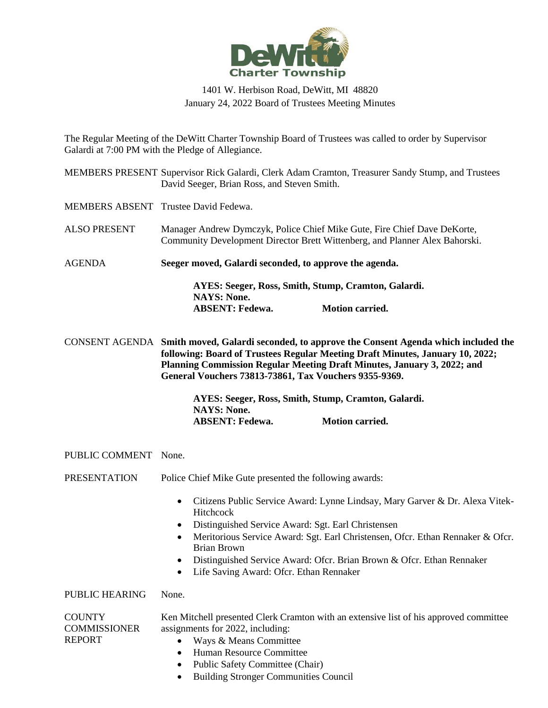

## 1401 W. Herbison Road, DeWitt, MI 48820 January 24, 2022 Board of Trustees Meeting Minutes

The Regular Meeting of the DeWitt Charter Township Board of Trustees was called to order by Supervisor Galardi at 7:00 PM with the Pledge of Allegiance.

|                       | MEMBERS PRESENT Supervisor Rick Galardi, Clerk Adam Cramton, Treasurer Sandy Stump, and Trustees<br>David Seeger, Brian Ross, and Steven Smith.                                                                                                                                                                                                                                                       |  |  |
|-----------------------|-------------------------------------------------------------------------------------------------------------------------------------------------------------------------------------------------------------------------------------------------------------------------------------------------------------------------------------------------------------------------------------------------------|--|--|
|                       | MEMBERS ABSENT Trustee David Fedewa.                                                                                                                                                                                                                                                                                                                                                                  |  |  |
| <b>ALSO PRESENT</b>   | Manager Andrew Dymczyk, Police Chief Mike Gute, Fire Chief Dave DeKorte,<br>Community Development Director Brett Wittenberg, and Planner Alex Bahorski.                                                                                                                                                                                                                                               |  |  |
| <b>AGENDA</b>         | Seeger moved, Galardi seconded, to approve the agenda.                                                                                                                                                                                                                                                                                                                                                |  |  |
|                       | AYES: Seeger, Ross, Smith, Stump, Cramton, Galardi.<br><b>NAYS: None.</b><br><b>ABSENT: Fedewa.</b><br><b>Motion carried.</b>                                                                                                                                                                                                                                                                         |  |  |
|                       | CONSENT AGENDA Smith moved, Galardi seconded, to approve the Consent Agenda which included the<br>following: Board of Trustees Regular Meeting Draft Minutes, January 10, 2022;<br>Planning Commission Regular Meeting Draft Minutes, January 3, 2022; and<br>General Vouchers 73813-73861, Tax Vouchers 9355-9369.                                                                                   |  |  |
|                       | AYES: Seeger, Ross, Smith, Stump, Cramton, Galardi.<br><b>NAYS: None.</b><br><b>Motion carried.</b><br><b>ABSENT: Fedewa.</b>                                                                                                                                                                                                                                                                         |  |  |
| PUBLIC COMMENT None.  |                                                                                                                                                                                                                                                                                                                                                                                                       |  |  |
| <b>PRESENTATION</b>   | Police Chief Mike Gute presented the following awards:                                                                                                                                                                                                                                                                                                                                                |  |  |
|                       | Citizens Public Service Award: Lynne Lindsay, Mary Garver & Dr. Alexa Vitek-<br>$\bullet$<br>Hitchcock<br>Distinguished Service Award: Sgt. Earl Christensen<br>Meritorious Service Award: Sgt. Earl Christensen, Ofcr. Ethan Rennaker & Ofcr.<br><b>Brian Brown</b><br>Distinguished Service Award: Ofcr. Brian Brown & Ofcr. Ethan Rennaker<br>Life Saving Award: Ofcr. Ethan Rennaker<br>$\bullet$ |  |  |
| <b>PUBLIC HEARING</b> | None.                                                                                                                                                                                                                                                                                                                                                                                                 |  |  |
| <b>COUNTY</b>         | Ken Mitchell presented Clerk Cramton with an extensive list of his approved committee                                                                                                                                                                                                                                                                                                                 |  |  |

assignments for 2022, including: • Ways & Means Committee

**COMMISSIONER** 

REPORT

- Human Resource Committee
- Public Safety Committee (Chair)
- Building Stronger Communities Council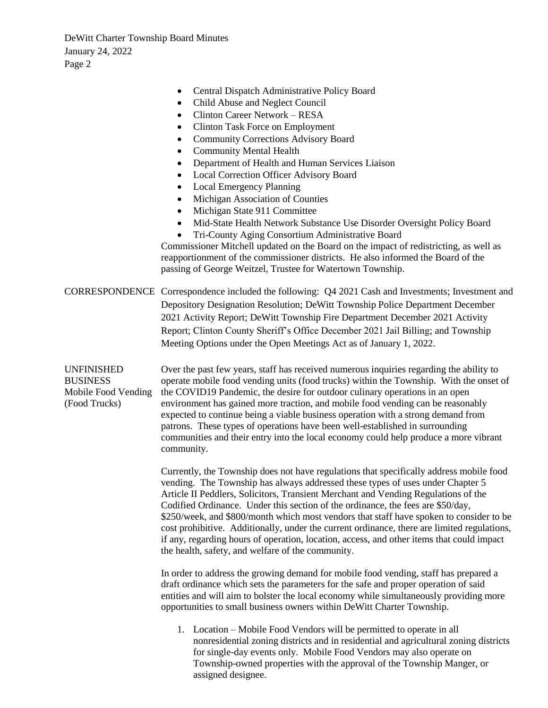- Central Dispatch Administrative Policy Board • Child Abuse and Neglect Council • Clinton Career Network – RESA • Clinton Task Force on Employment • Community Corrections Advisory Board • Community Mental Health • Department of Health and Human Services Liaison • Local Correction Officer Advisory Board Local Emergency Planning • Michigan Association of Counties • Michigan State 911 Committee • Mid-State Health Network Substance Use Disorder Oversight Policy Board • Tri-County Aging Consortium Administrative Board Commissioner Mitchell updated on the Board on the impact of redistricting, as well as reapportionment of the commissioner districts. He also informed the Board of the passing of George Weitzel, Trustee for Watertown Township. CORRESPONDENCE Correspondence included the following: Q4 2021 Cash and Investments; Investment and Depository Designation Resolution; DeWitt Township Police Department December 2021 Activity Report; DeWitt Township Fire Department December 2021 Activity Report; Clinton County Sheriff's Office December 2021 Jail Billing; and Township Meeting Options under the Open Meetings Act as of January 1, 2022. UNFINISHED **BUSINESS** Mobile Food Vending (Food Trucks) Over the past few years, staff has received numerous inquiries regarding the ability to operate mobile food vending units (food trucks) within the Township. With the onset of the COVID19 Pandemic, the desire for outdoor culinary operations in an open environment has gained more traction, and mobile food vending can be reasonably expected to continue being a viable business operation with a strong demand from patrons. These types of operations have been well-established in surrounding communities and their entry into the local economy could help produce a more vibrant community. Currently, the Township does not have regulations that specifically address mobile food vending. The Township has always addressed these types of uses under Chapter 5 Article II Peddlers, Solicitors, Transient Merchant and Vending Regulations of the Codified Ordinance. Under this section of the ordinance, the fees are \$50/day, \$250/week, and \$800/month which most vendors that staff have spoken to consider to be cost prohibitive. Additionally, under the current ordinance, there are limited regulations, if any, regarding hours of operation, location, access, and other items that could impact the health, safety, and welfare of the community. In order to address the growing demand for mobile food vending, staff has prepared a draft ordinance which sets the parameters for the safe and proper operation of said entities and will aim to bolster the local economy while simultaneously providing more opportunities to small business owners within DeWitt Charter Township. 1. Location – Mobile Food Vendors will be permitted to operate in all
	- nonresidential zoning districts and in residential and agricultural zoning districts for single-day events only. Mobile Food Vendors may also operate on Township-owned properties with the approval of the Township Manger, or assigned designee.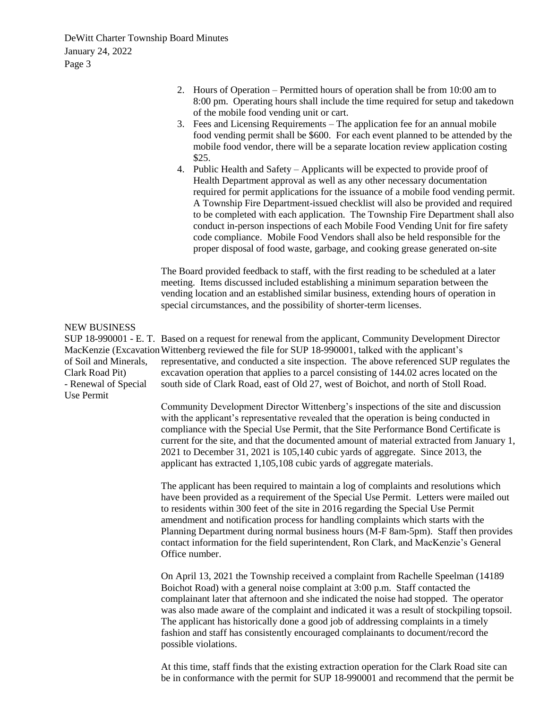- 2. Hours of Operation Permitted hours of operation shall be from 10:00 am to 8:00 pm. Operating hours shall include the time required for setup and takedown of the mobile food vending unit or cart.
- 3. Fees and Licensing Requirements The application fee for an annual mobile food vending permit shall be \$600. For each event planned to be attended by the mobile food vendor, there will be a separate location review application costing \$25.
- 4. Public Health and Safety Applicants will be expected to provide proof of Health Department approval as well as any other necessary documentation required for permit applications for the issuance of a mobile food vending permit. A Township Fire Department-issued checklist will also be provided and required to be completed with each application. The Township Fire Department shall also conduct in-person inspections of each Mobile Food Vending Unit for fire safety code compliance. Mobile Food Vendors shall also be held responsible for the proper disposal of food waste, garbage, and cooking grease generated on-site

The Board provided feedback to staff, with the first reading to be scheduled at a later meeting. Items discussed included establishing a minimum separation between the vending location and an established similar business, extending hours of operation in special circumstances, and the possibility of shorter-term licenses.

## NEW BUSINESS

SUP 18-990001 - E. T. Based on a request for renewal from the applicant, Community Development Director MacKenzie (Excavation Wittenberg reviewed the file for SUP 18-990001, talked with the applicant's of Soil and Minerals, Clark Road Pit) - Renewal of Special Use Permit representative, and conducted a site inspection. The above referenced SUP regulates the excavation operation that applies to a parcel consisting of 144.02 acres located on the south side of Clark Road, east of Old 27, west of Boichot, and north of Stoll Road.

> Community Development Director Wittenberg's inspections of the site and discussion with the applicant's representative revealed that the operation is being conducted in compliance with the Special Use Permit, that the Site Performance Bond Certificate is current for the site, and that the documented amount of material extracted from January 1, 2021 to December 31, 2021 is 105,140 cubic yards of aggregate. Since 2013, the applicant has extracted 1,105,108 cubic yards of aggregate materials.

> The applicant has been required to maintain a log of complaints and resolutions which have been provided as a requirement of the Special Use Permit. Letters were mailed out to residents within 300 feet of the site in 2016 regarding the Special Use Permit amendment and notification process for handling complaints which starts with the Planning Department during normal business hours (M-F 8am-5pm). Staff then provides contact information for the field superintendent, Ron Clark, and MacKenzie's General Office number.

> On April 13, 2021 the Township received a complaint from Rachelle Speelman (14189 Boichot Road) with a general noise complaint at 3:00 p.m. Staff contacted the complainant later that afternoon and she indicated the noise had stopped. The operator was also made aware of the complaint and indicated it was a result of stockpiling topsoil. The applicant has historically done a good job of addressing complaints in a timely fashion and staff has consistently encouraged complainants to document/record the possible violations.

> At this time, staff finds that the existing extraction operation for the Clark Road site can be in conformance with the permit for SUP 18-990001 and recommend that the permit be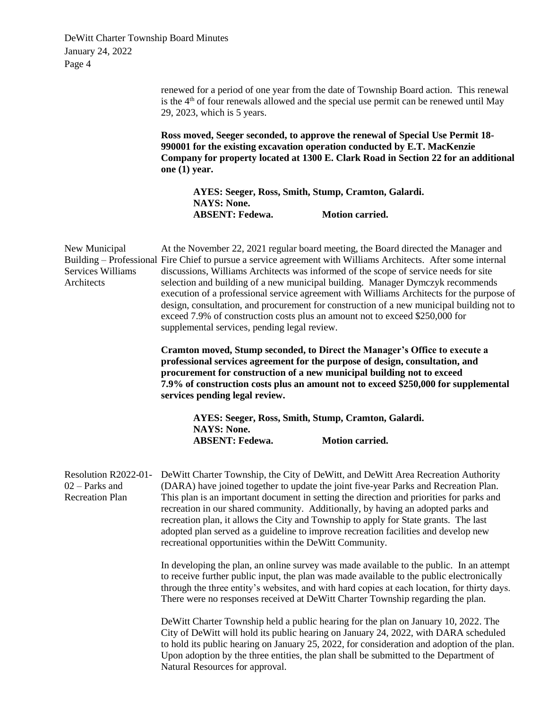> renewed for a period of one year from the date of Township Board action. This renewal is the  $4<sup>th</sup>$  of four renewals allowed and the special use permit can be renewed until May 29, 2023, which is 5 years.

**Ross moved, Seeger seconded, to approve the renewal of Special Use Permit 18- 990001 for the existing excavation operation conducted by E.T. MacKenzie Company for property located at 1300 E. Clark Road in Section 22 for an additional one (1) year.**

**AYES: Seeger, Ross, Smith, Stump, Cramton, Galardi. NAYS: None. ABSENT: Fedewa. Motion carried.**

| New Municipal<br>Services Williams<br>Architects                   | At the November 22, 2021 regular board meeting, the Board directed the Manager and<br>Building – Professional Fire Chief to pursue a service agreement with Williams Architects. After some internal<br>discussions, Williams Architects was informed of the scope of service needs for site<br>selection and building of a new municipal building. Manager Dymczyk recommends<br>execution of a professional service agreement with Williams Architects for the purpose of<br>design, consultation, and procurement for construction of a new municipal building not to<br>exceed 7.9% of construction costs plus an amount not to exceed \$250,000 for<br>supplemental services, pending legal review.<br><b>Cramton moved, Stump seconded, to Direct the Manager's Office to execute a</b><br>professional services agreement for the purpose of design, consultation, and<br>procurement for construction of a new municipal building not to exceed<br>7.9% of construction costs plus an amount not to exceed \$250,000 for supplemental<br>services pending legal review. |  |  |
|--------------------------------------------------------------------|---------------------------------------------------------------------------------------------------------------------------------------------------------------------------------------------------------------------------------------------------------------------------------------------------------------------------------------------------------------------------------------------------------------------------------------------------------------------------------------------------------------------------------------------------------------------------------------------------------------------------------------------------------------------------------------------------------------------------------------------------------------------------------------------------------------------------------------------------------------------------------------------------------------------------------------------------------------------------------------------------------------------------------------------------------------------------------|--|--|
|                                                                    |                                                                                                                                                                                                                                                                                                                                                                                                                                                                                                                                                                                                                                                                                                                                                                                                                                                                                                                                                                                                                                                                                 |  |  |
|                                                                    | AYES: Seeger, Ross, Smith, Stump, Cramton, Galardi.<br><b>NAYS: None.</b><br><b>Motion carried.</b><br><b>ABSENT: Fedewa.</b>                                                                                                                                                                                                                                                                                                                                                                                                                                                                                                                                                                                                                                                                                                                                                                                                                                                                                                                                                   |  |  |
| Resolution R2022-01-<br>$02$ – Parks and<br><b>Recreation Plan</b> | DeWitt Charter Township, the City of DeWitt, and DeWitt Area Recreation Authority<br>(DARA) have joined together to update the joint five-year Parks and Recreation Plan.<br>This plan is an important document in setting the direction and priorities for parks and<br>recreation in our shared community. Additionally, by having an adopted parks and<br>recreation plan, it allows the City and Township to apply for State grants. The last<br>adopted plan served as a guideline to improve recreation facilities and develop new<br>recreational opportunities within the DeWitt Community.                                                                                                                                                                                                                                                                                                                                                                                                                                                                             |  |  |
|                                                                    | In developing the plan, an online survey was made available to the public. In an attempt<br>to receive further public input, the plan was made available to the public electronically<br>through the three entity's websites, and with hard copies at each location, for thirty days.<br>There were no responses received at DeWitt Charter Township regarding the plan.                                                                                                                                                                                                                                                                                                                                                                                                                                                                                                                                                                                                                                                                                                        |  |  |
|                                                                    | DeWitt Charter Township held a public hearing for the plan on January 10, 2022. The<br>City of DeWitt will hold its public hearing on January 24, 2022, with DARA scheduled<br>to hold its public hearing on January 25, 2022, for consideration and adoption of the plan.<br>Upon adoption by the three entities, the plan shall be submitted to the Department of<br>Natural Resources for approval.                                                                                                                                                                                                                                                                                                                                                                                                                                                                                                                                                                                                                                                                          |  |  |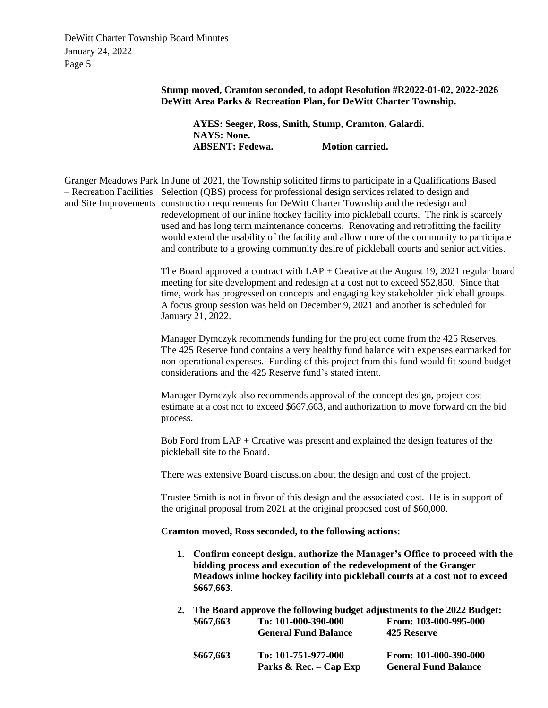> **Stump moved, Cramton seconded, to adopt Resolution #R2022-01-02, 2022-2026 DeWitt Area Parks & Recreation Plan, for DeWitt Charter Township.**

**AYES: Seeger, Ross, Smith, Stump, Cramton, Galardi. NAYS: None. ABSENT: Fedewa. Motion carried.**

Granger Meadows Park In June of 2021, the Township solicited firms to participate in a Qualifications Based – Recreation Facilities Selection (QBS) process for professional design services related to design and and Site Improvements construction requirements for DeWitt Charter Township and the redesign and redevelopment of our inline hockey facility into pickleball courts. The rink is scarcely used and has long term maintenance concerns. Renovating and retrofitting the facility would extend the usability of the facility and allow more of the community to participate and contribute to a growing community desire of pickleball courts and senior activities.

> The Board approved a contract with  $LAP +$  Creative at the August 19, 2021 regular board meeting for site development and redesign at a cost not to exceed \$52,850. Since that time, work has progressed on concepts and engaging key stakeholder pickleball groups. A focus group session was held on December 9, 2021 and another is scheduled for January 21, 2022.

Manager Dymczyk recommends funding for the project come from the 425 Reserves. The 425 Reserve fund contains a very healthy fund balance with expenses earmarked for non-operational expenses. Funding of this project from this fund would fit sound budget considerations and the 425 Reserve fund's stated intent.

Manager Dymczyk also recommends approval of the concept design, project cost estimate at a cost not to exceed \$667,663, and authorization to move forward on the bid process.

Bob Ford from LAP + Creative was present and explained the design features of the pickleball site to the Board.

There was extensive Board discussion about the design and cost of the project.

Trustee Smith is not in favor of this design and the associated cost. He is in support of the original proposal from 2021 at the original proposed cost of \$60,000.

## **Cramton moved, Ross seconded, to the following actions:**

- **1. Confirm concept design, authorize the Manager's Office to proceed with the bidding process and execution of the redevelopment of the Granger Meadows inline hockey facility into pickleball courts at a cost not to exceed \$667,663.**
- **2. The Board approve the following budget adjustments to the 2022 Budget: \$667,663 To: 101-000-390-000 From: 103-000-995-000 General Fund Balance 425 Reserve**

| \$667,663 | To: 101-751-977-000      | From: 101-000-390-000       |
|-----------|--------------------------|-----------------------------|
|           | Parks & Rec. $-$ Cap Exp | <b>General Fund Balance</b> |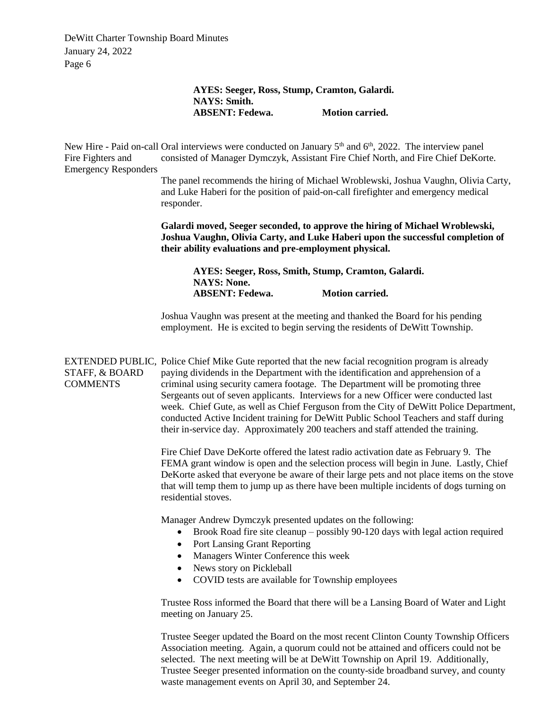## **AYES: Seeger, Ross, Stump, Cramton, Galardi. NAYS: Smith. ABSENT: Fedewa. Motion carried.**

New Hire - Paid on-call Oral interviews were conducted on January 5<sup>th</sup> and 6<sup>th</sup>, 2022. The interview panel Fire Fighters and Emergency Responders consisted of Manager Dymczyk, Assistant Fire Chief North, and Fire Chief DeKorte.

> The panel recommends the hiring of Michael Wroblewski, Joshua Vaughn, Olivia Carty, and Luke Haberi for the position of paid-on-call firefighter and emergency medical responder.

**Galardi moved, Seeger seconded, to approve the hiring of Michael Wroblewski, Joshua Vaughn, Olivia Carty, and Luke Haberi upon the successful completion of their ability evaluations and pre-employment physical.**

**AYES: Seeger, Ross, Smith, Stump, Cramton, Galardi. NAYS: None. ABSENT: Fedewa. Motion carried.**

Joshua Vaughn was present at the meeting and thanked the Board for his pending employment. He is excited to begin serving the residents of DeWitt Township.

EXTENDED PUBLIC, Police Chief Mike Gute reported that the new facial recognition program is already STAFF, & BOARD **COMMENTS** paying dividends in the Department with the identification and apprehension of a criminal using security camera footage. The Department will be promoting three Sergeants out of seven applicants. Interviews for a new Officer were conducted last week. Chief Gute, as well as Chief Ferguson from the City of DeWitt Police Department, conducted Active Incident training for DeWitt Public School Teachers and staff during their in-service day. Approximately 200 teachers and staff attended the training.

> Fire Chief Dave DeKorte offered the latest radio activation date as February 9. The FEMA grant window is open and the selection process will begin in June. Lastly, Chief DeKorte asked that everyone be aware of their large pets and not place items on the stove that will temp them to jump up as there have been multiple incidents of dogs turning on residential stoves.

Manager Andrew Dymczyk presented updates on the following:

- Brook Road fire site cleanup possibly 90-120 days with legal action required
- Port Lansing Grant Reporting
- Managers Winter Conference this week
- News story on Pickleball
- COVID tests are available for Township employees

Trustee Ross informed the Board that there will be a Lansing Board of Water and Light meeting on January 25.

Trustee Seeger updated the Board on the most recent Clinton County Township Officers Association meeting. Again, a quorum could not be attained and officers could not be selected. The next meeting will be at DeWitt Township on April 19. Additionally, Trustee Seeger presented information on the county-side broadband survey, and county waste management events on April 30, and September 24.